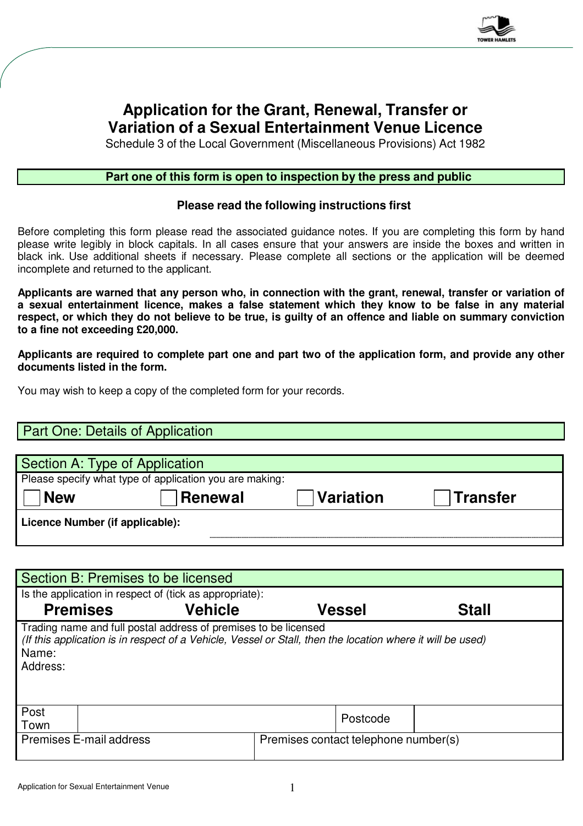

# **Application for the Grant, Renewal, Transfer or Variation of a Sexual Entertainment Venue Licence**

Schedule 3 of the Local Government (Miscellaneous Provisions) Act 1982

#### **Part one of this form is open to inspection by the press and public**

#### **Please read the following instructions first**

Before completing this form please read the associated guidance notes. If you are completing this form by hand please write legibly in block capitals. In all cases ensure that your answers are inside the boxes and written in black ink. Use additional sheets if necessary. Please complete all sections or the application will be deemed incomplete and returned to the applicant.

**Applicants are warned that any person who, in connection with the grant, renewal, transfer or variation of a sexual entertainment licence, makes a false statement which they know to be false in any material respect, or which they do not believe to be true, is guilty of an offence and liable on summary conviction to a fine not exceeding £20,000.**

**Applicants are required to complete part one and part two of the application form, and provide any other documents listed in the form.**

You may wish to keep a copy of the completed form for your records.

## Part One: Details of Application

| Section A: Type of Application                          |                  |          |  |  |  |
|---------------------------------------------------------|------------------|----------|--|--|--|
| Please specify what type of application you are making: |                  |          |  |  |  |
|                                                         | <b>Variation</b> | Transfer |  |  |  |
| Licence Number (if applicable):                         |                  |          |  |  |  |
|                                                         | Renewal          |          |  |  |  |

| Section B: Premises to be licensed                                                                                                                                                                 |                         |                |  |                                      |              |  |
|----------------------------------------------------------------------------------------------------------------------------------------------------------------------------------------------------|-------------------------|----------------|--|--------------------------------------|--------------|--|
| Is the application in respect of (tick as appropriate):                                                                                                                                            |                         |                |  |                                      |              |  |
|                                                                                                                                                                                                    | <b>Premises</b>         | <b>Vehicle</b> |  | Vessel                               | <b>Stall</b> |  |
| Trading name and full postal address of premises to be licensed<br>(If this application is in respect of a Vehicle, Vessel or Stall, then the location where it will be used)<br>Name:<br>Address: |                         |                |  |                                      |              |  |
| Post<br>Town                                                                                                                                                                                       |                         |                |  | Postcode                             |              |  |
|                                                                                                                                                                                                    | Premises E-mail address |                |  | Premises contact telephone number(s) |              |  |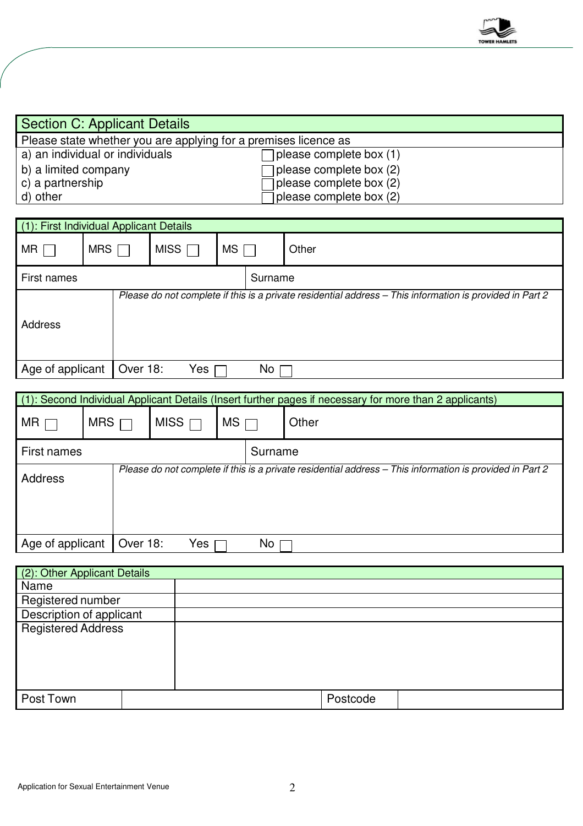

| Section C: Applicant Details                                    |                                |  |
|-----------------------------------------------------------------|--------------------------------|--|
| Please state whether you are applying for a premises licence as |                                |  |
| a) an individual or individuals                                 | $\Box$ please complete box (1) |  |
| b) a limited company                                            | $\Box$ please complete box (2) |  |
| c) a partnership                                                | $\Box$ please complete box (2) |  |
| d) other                                                        | $\Box$ please complete box (2) |  |

| (1): First Individual Applicant Details                                                                             |                 |             |           |         |       |
|---------------------------------------------------------------------------------------------------------------------|-----------------|-------------|-----------|---------|-------|
| MR I                                                                                                                | MRS [           | MISS $\Box$ | <b>MS</b> |         | Other |
| First names                                                                                                         |                 |             |           | Surname |       |
| Please do not complete if this is a private residential address - This information is provided in Part 2<br>Address |                 |             |           |         |       |
| Age of applicant                                                                                                    | <b>Over 18:</b> | Yes         |           | No      |       |

| (1): Second Individual Applicant Details (Insert further pages if necessary for more than 2 applicants)             |          |             |           |         |       |
|---------------------------------------------------------------------------------------------------------------------|----------|-------------|-----------|---------|-------|
| $MR \sqsubset$                                                                                                      | MRS      | MISS $\Box$ | $MS \Box$ |         | Other |
| First names                                                                                                         |          |             |           | Surname |       |
| Please do not complete if this is a private residential address - This information is provided in Part 2<br>Address |          |             |           |         |       |
| Age of applicant                                                                                                    | Over 18: | Yes:        |           | No.     |       |

| (2): Other Applicant Details |  |          |  |
|------------------------------|--|----------|--|
| Name                         |  |          |  |
| Registered number            |  |          |  |
| Description of applicant     |  |          |  |
| <b>Registered Address</b>    |  |          |  |
| Post Town                    |  | Postcode |  |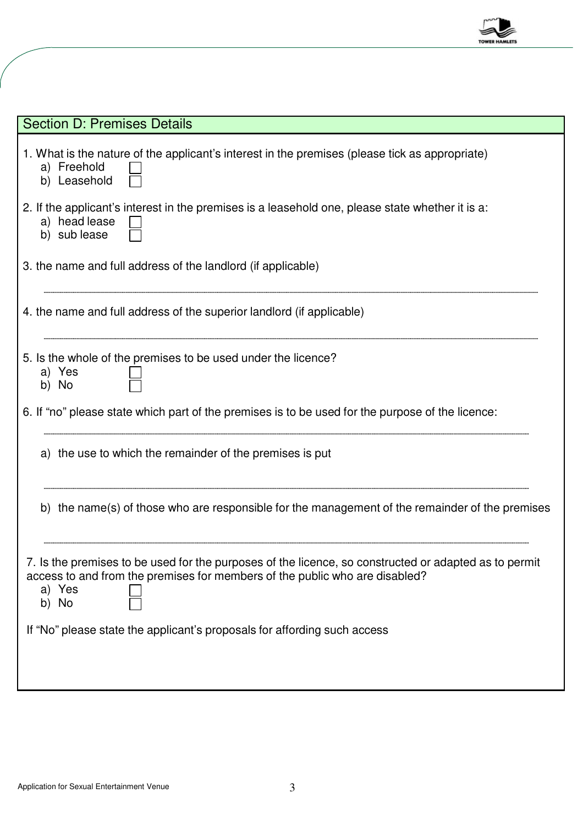

| <b>Section D: Premises Details</b>                                                                                                                                                                      |
|---------------------------------------------------------------------------------------------------------------------------------------------------------------------------------------------------------|
| 1. What is the nature of the applicant's interest in the premises (please tick as appropriate)<br>a) Freehold<br>b) Leasehold                                                                           |
| 2. If the applicant's interest in the premises is a leasehold one, please state whether it is a:<br>a) head lease<br>b) sub lease                                                                       |
| 3. the name and full address of the landlord (if applicable)                                                                                                                                            |
| 4. the name and full address of the superior landlord (if applicable)                                                                                                                                   |
| 5. Is the whole of the premises to be used under the licence?<br>a) Yes<br>b) No                                                                                                                        |
| 6. If "no" please state which part of the premises is to be used for the purpose of the licence:                                                                                                        |
| a) the use to which the remainder of the premises is put                                                                                                                                                |
| b) the name(s) of those who are responsible for the management of the remainder of the premises                                                                                                         |
| 7. Is the premises to be used for the purposes of the licence, so constructed or adapted as to permit<br>access to and from the premises for members of the public who are disabled?<br>a) Yes<br>b) No |
| If "No" please state the applicant's proposals for affording such access                                                                                                                                |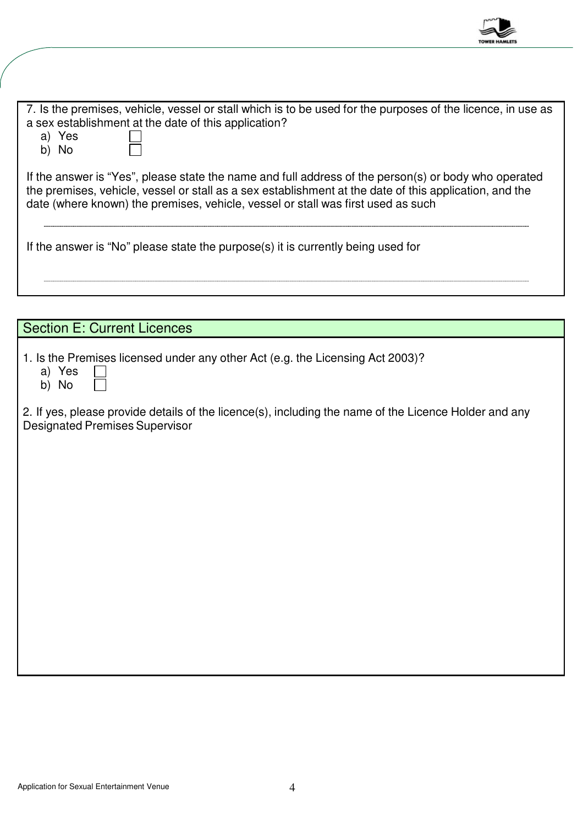

| 7. Is the premises, vehicle, vessel or stall which is to be used for the purposes of the licence, in use as<br>a sex establishment at the date of this application?<br>a) Yes<br>b) No                                                                                                             |
|----------------------------------------------------------------------------------------------------------------------------------------------------------------------------------------------------------------------------------------------------------------------------------------------------|
| If the answer is "Yes", please state the name and full address of the person(s) or body who operated<br>the premises, vehicle, vessel or stall as a sex establishment at the date of this application, and the<br>date (where known) the premises, vehicle, vessel or stall was first used as such |
| If the answer is "No" please state the purpose(s) it is currently being used for                                                                                                                                                                                                                   |
|                                                                                                                                                                                                                                                                                                    |

| <b>Section E: Current Licences</b>                                                                                                             |
|------------------------------------------------------------------------------------------------------------------------------------------------|
| 1. Is the Premises licensed under any other Act (e.g. the Licensing Act 2003)?<br>a) Yes<br>b) No                                              |
| 2. If yes, please provide details of the licence(s), including the name of the Licence Holder and any<br><b>Designated Premises Supervisor</b> |
|                                                                                                                                                |
|                                                                                                                                                |
|                                                                                                                                                |
|                                                                                                                                                |
|                                                                                                                                                |
|                                                                                                                                                |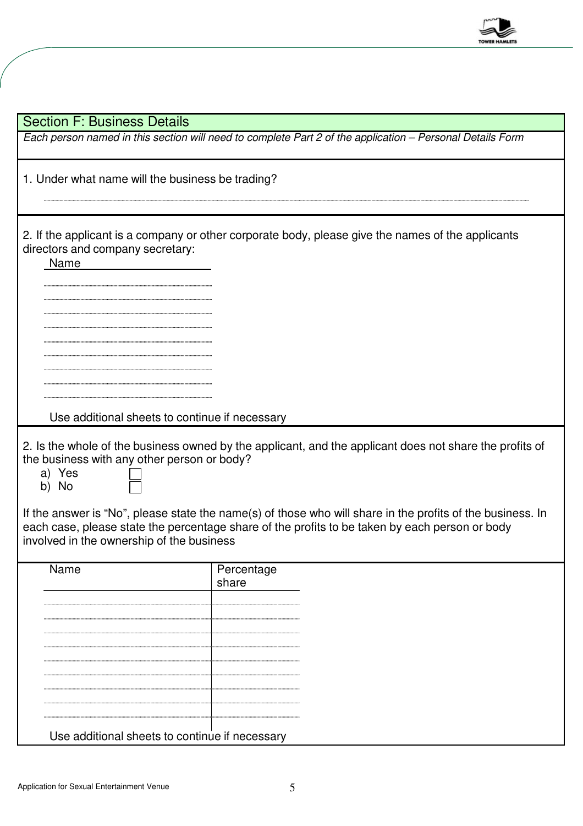

| <b>Section F: Business Details</b>                                                                                                                                                                                                                                                                                                                                                                                                                                                       |                     |  |  |  |  |
|------------------------------------------------------------------------------------------------------------------------------------------------------------------------------------------------------------------------------------------------------------------------------------------------------------------------------------------------------------------------------------------------------------------------------------------------------------------------------------------|---------------------|--|--|--|--|
| Each person named in this section will need to complete Part 2 of the application - Personal Details Form                                                                                                                                                                                                                                                                                                                                                                                |                     |  |  |  |  |
| 1. Under what name will the business be trading?                                                                                                                                                                                                                                                                                                                                                                                                                                         |                     |  |  |  |  |
| 2. If the applicant is a company or other corporate body, please give the names of the applicants<br>directors and company secretary:<br>Name                                                                                                                                                                                                                                                                                                                                            |                     |  |  |  |  |
|                                                                                                                                                                                                                                                                                                                                                                                                                                                                                          |                     |  |  |  |  |
| Use additional sheets to continue if necessary<br>2. Is the whole of the business owned by the applicant, and the applicant does not share the profits of<br>the business with any other person or body?<br>a) Yes<br>b) No<br>If the answer is "No", please state the name(s) of those who will share in the profits of the business. In<br>each case, please state the percentage share of the profits to be taken by each person or body<br>involved in the ownership of the business |                     |  |  |  |  |
| Name                                                                                                                                                                                                                                                                                                                                                                                                                                                                                     | Percentage<br>share |  |  |  |  |
| Use additional sheets to continue if necessary                                                                                                                                                                                                                                                                                                                                                                                                                                           |                     |  |  |  |  |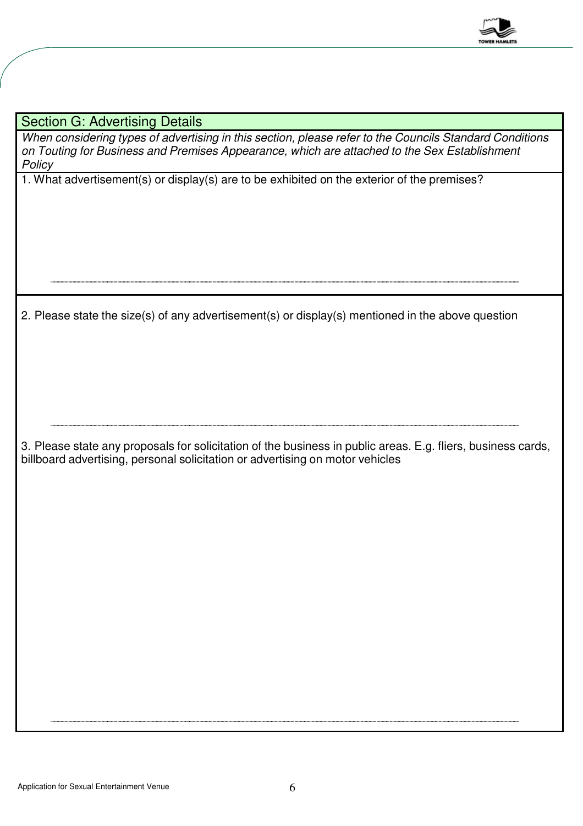

Section G: Advertising Details

When considering types of advertising in this section, please refer to the Councils Standard Conditions on Touting for Business and Premises Appearance, which are attached to the Sex Establishment **Policy** 

1. What advertisement(s) or display(s) are to be exhibited on the exterior of the premises?

2. Please state the size(s) of any advertisement(s) or display(s) mentioned in the above question

3. Please state any proposals for solicitation of the business in public areas. E.g. fliers, business cards, billboard advertising, personal solicitation or advertising on motor vehicles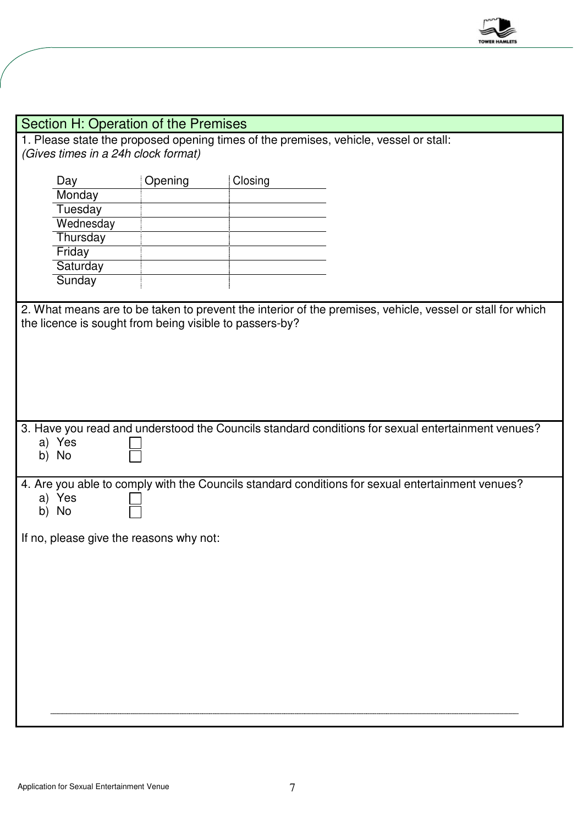

|                                                                                       | Section H: Operation of the Premises |         |                                                                                                           |  |  |
|---------------------------------------------------------------------------------------|--------------------------------------|---------|-----------------------------------------------------------------------------------------------------------|--|--|
| 1. Please state the proposed opening times of the premises, vehicle, vessel or stall: |                                      |         |                                                                                                           |  |  |
| (Gives times in a 24h clock format)                                                   |                                      |         |                                                                                                           |  |  |
|                                                                                       |                                      |         |                                                                                                           |  |  |
| Day                                                                                   | Opening                              | Closing |                                                                                                           |  |  |
| Monday                                                                                |                                      |         |                                                                                                           |  |  |
| Tuesday                                                                               |                                      |         |                                                                                                           |  |  |
| Wednesday                                                                             |                                      |         |                                                                                                           |  |  |
| Thursday                                                                              |                                      |         |                                                                                                           |  |  |
| Friday                                                                                |                                      |         |                                                                                                           |  |  |
| Saturday                                                                              |                                      |         |                                                                                                           |  |  |
| Sunday                                                                                |                                      |         |                                                                                                           |  |  |
| the licence is sought from being visible to passers-by?                               |                                      |         | 2. What means are to be taken to prevent the interior of the premises, vehicle, vessel or stall for which |  |  |
|                                                                                       |                                      |         | 3. Have you read and understood the Councils standard conditions for sexual entertainment venues?         |  |  |
| a) Yes<br>b) No                                                                       |                                      |         |                                                                                                           |  |  |
|                                                                                       |                                      |         |                                                                                                           |  |  |
| a) Yes<br>b) No                                                                       |                                      |         | 4. Are you able to comply with the Councils standard conditions for sexual entertainment venues?          |  |  |
| If no, please give the reasons why not:                                               |                                      |         |                                                                                                           |  |  |
|                                                                                       |                                      |         |                                                                                                           |  |  |
|                                                                                       |                                      |         |                                                                                                           |  |  |
|                                                                                       |                                      |         |                                                                                                           |  |  |
|                                                                                       |                                      |         |                                                                                                           |  |  |
|                                                                                       |                                      |         |                                                                                                           |  |  |
|                                                                                       |                                      |         |                                                                                                           |  |  |
|                                                                                       |                                      |         |                                                                                                           |  |  |
|                                                                                       |                                      |         |                                                                                                           |  |  |
|                                                                                       |                                      |         |                                                                                                           |  |  |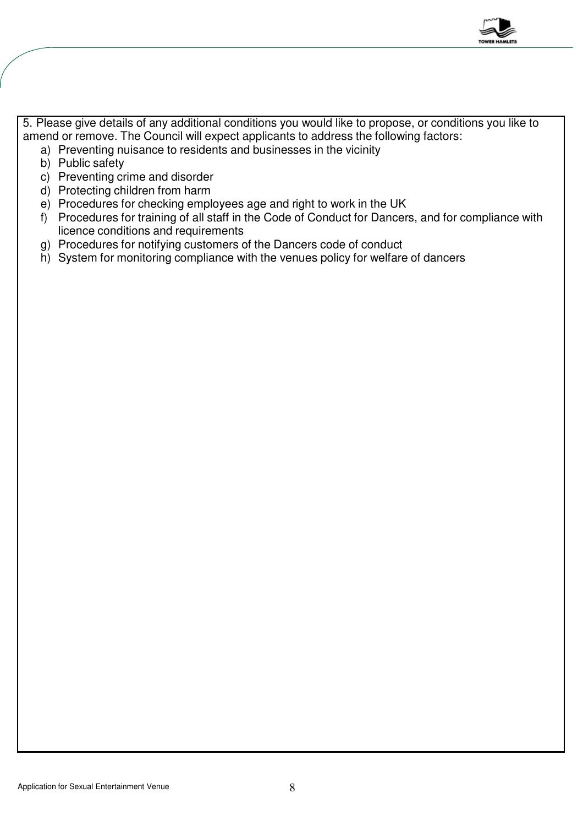

5. Please give details of any additional conditions you would like to propose, or conditions you like to amend or remove. The Council will expect applicants to address the following factors:

- a) Preventing nuisance to residents and businesses in the vicinity
- b) Public safety
- c) Preventing crime and disorder
- d) Protecting children from harm
- e) Procedures for checking employees age and right to work in the UK
- f) Procedures for training of all staff in the Code of Conduct for Dancers, and for compliance with licence conditions and requirements
- g) Procedures for notifying customers of the Dancers code of conduct
- h) System for monitoring compliance with the venues policy for welfare of dancers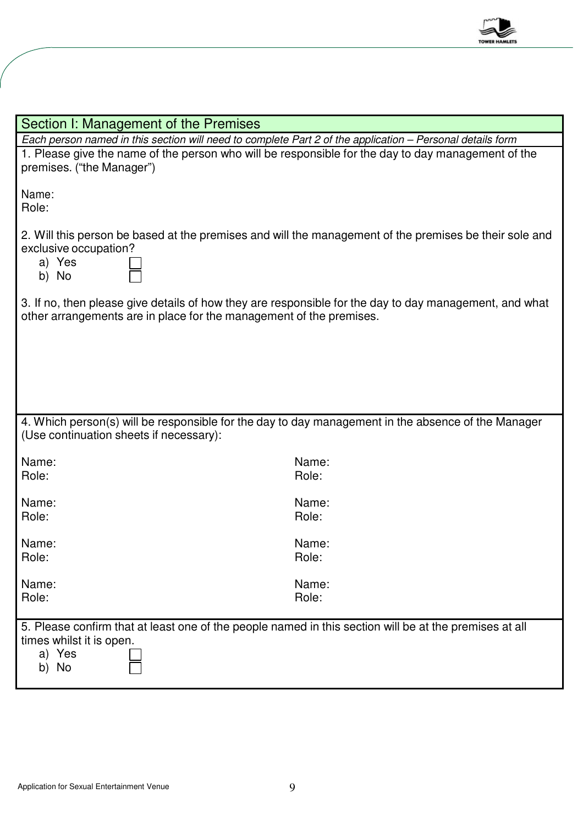

| Section I: Management of the Premises                                                                                                                                         |                |  |  |  |
|-------------------------------------------------------------------------------------------------------------------------------------------------------------------------------|----------------|--|--|--|
| Each person named in this section will need to complete Part 2 of the application - Personal details form                                                                     |                |  |  |  |
| 1. Please give the name of the person who will be responsible for the day to day management of the<br>premises. ("the Manager")                                               |                |  |  |  |
| Name:<br>Role:                                                                                                                                                                |                |  |  |  |
| 2. Will this person be based at the premises and will the management of the premises be their sole and<br>exclusive occupation?<br>a) Yes<br>b) No                            |                |  |  |  |
| 3. If no, then please give details of how they are responsible for the day to day management, and what<br>other arrangements are in place for the management of the premises. |                |  |  |  |
|                                                                                                                                                                               |                |  |  |  |
| 4. Which person(s) will be responsible for the day to day management in the absence of the Manager<br>(Use continuation sheets if necessary):                                 |                |  |  |  |
| Name:<br>Role:                                                                                                                                                                | Name:<br>Role: |  |  |  |
| Name:<br>Role:                                                                                                                                                                | Name:<br>Role: |  |  |  |
| Name:<br>Role:                                                                                                                                                                | Name:<br>Role: |  |  |  |
| Name:<br>Role:                                                                                                                                                                | Name:<br>Role: |  |  |  |
| 5. Please confirm that at least one of the people named in this section will be at the premises at all<br>times whilst it is open.<br>a) Yes<br>No<br>b)                      |                |  |  |  |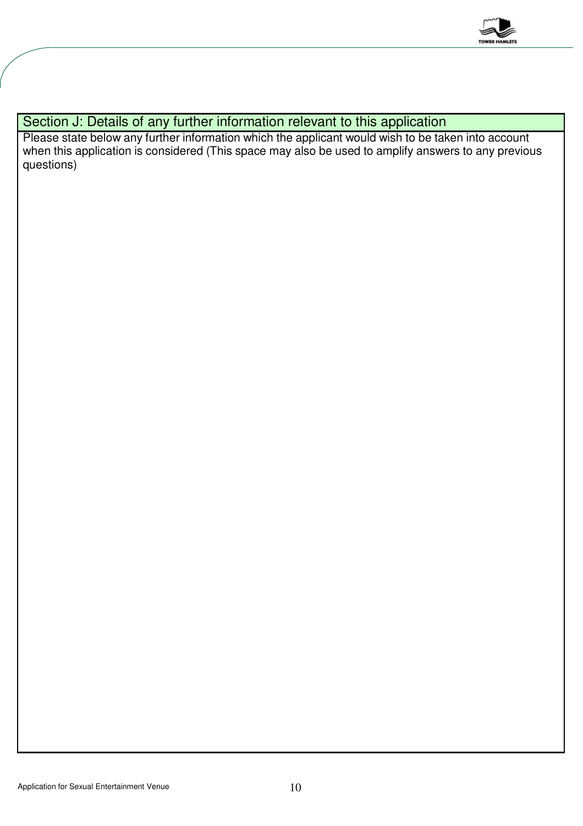

## Section J: Details of any further information relevant to this application

Please state below any further information which the applicant would wish to be taken into account when this application is considered (This space may also be used to amplify answers to any previous questions)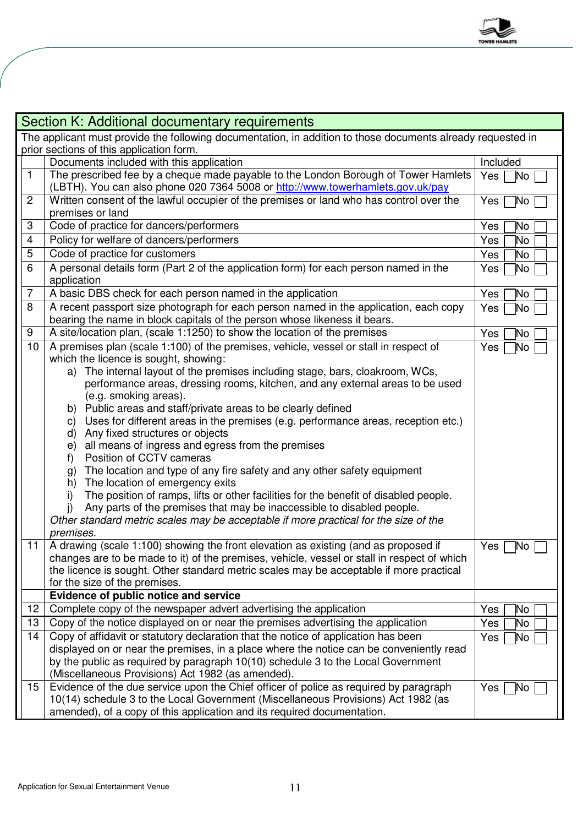

| Section K: Additional documentary requirements                                                              |                                                                                                                                                                      |                         |  |  |  |
|-------------------------------------------------------------------------------------------------------------|----------------------------------------------------------------------------------------------------------------------------------------------------------------------|-------------------------|--|--|--|
| The applicant must provide the following documentation, in addition to those documents already requested in |                                                                                                                                                                      |                         |  |  |  |
| prior sections of this application form.                                                                    |                                                                                                                                                                      |                         |  |  |  |
|                                                                                                             | Documents included with this application                                                                                                                             | Included                |  |  |  |
| $\mathbf{1}$                                                                                                | The prescribed fee by a cheque made payable to the London Borough of Tower Hamlets                                                                                   | Yes <sup>1</sup><br>`No |  |  |  |
|                                                                                                             | (LBTH). You can also phone 020 7364 5008 or http://www.towerhamlets.gov.uk/pay                                                                                       |                         |  |  |  |
| $\mathbf{2}$                                                                                                | Written consent of the lawful occupier of the premises or land who has control over the                                                                              | `No<br>Yes              |  |  |  |
|                                                                                                             | premises or land                                                                                                                                                     |                         |  |  |  |
| 3                                                                                                           | Code of practice for dancers/performers                                                                                                                              | Yes<br>Μo               |  |  |  |
| $\overline{\mathbf{4}}$                                                                                     | Policy for welfare of dancers/performers                                                                                                                             | Yes<br>No.              |  |  |  |
| 5                                                                                                           | Code of practice for customers                                                                                                                                       | Yes<br>No.              |  |  |  |
| 6                                                                                                           | A personal details form (Part 2 of the application form) for each person named in the                                                                                | N٥.<br>Yes              |  |  |  |
|                                                                                                             | application                                                                                                                                                          |                         |  |  |  |
| $\overline{7}$                                                                                              | A basic DBS check for each person named in the application                                                                                                           | Yes<br>Μo               |  |  |  |
| 8                                                                                                           | A recent passport size photograph for each person named in the application, each copy<br>bearing the name in block capitals of the person whose likeness it bears.   | No.<br>Yes              |  |  |  |
| 9                                                                                                           | A site/location plan, (scale 1:1250) to show the location of the premises                                                                                            | Yes<br>No               |  |  |  |
| 10                                                                                                          | A premises plan (scale 1:100) of the premises, vehicle, vessel or stall in respect of                                                                                | No.<br>Yes              |  |  |  |
|                                                                                                             | which the licence is sought, showing:                                                                                                                                |                         |  |  |  |
|                                                                                                             | a) The internal layout of the premises including stage, bars, cloakroom, WCs,                                                                                        |                         |  |  |  |
|                                                                                                             | performance areas, dressing rooms, kitchen, and any external areas to be used                                                                                        |                         |  |  |  |
|                                                                                                             | (e.g. smoking areas).                                                                                                                                                |                         |  |  |  |
|                                                                                                             | b) Public areas and staff/private areas to be clearly defined                                                                                                        |                         |  |  |  |
|                                                                                                             | Uses for different areas in the premises (e.g. performance areas, reception etc.)<br>C)                                                                              |                         |  |  |  |
|                                                                                                             | d) Any fixed structures or objects                                                                                                                                   |                         |  |  |  |
|                                                                                                             | e) all means of ingress and egress from the premises                                                                                                                 |                         |  |  |  |
|                                                                                                             | Position of CCTV cameras<br>f)                                                                                                                                       |                         |  |  |  |
|                                                                                                             | The location and type of any fire safety and any other safety equipment<br>g)                                                                                        |                         |  |  |  |
|                                                                                                             | The location of emergency exits<br>h)                                                                                                                                |                         |  |  |  |
|                                                                                                             | The position of ramps, lifts or other facilities for the benefit of disabled people.<br>i)<br>Any parts of the premises that may be inaccessible to disabled people. |                         |  |  |  |
|                                                                                                             | Other standard metric scales may be acceptable if more practical for the size of the                                                                                 |                         |  |  |  |
|                                                                                                             | premises.                                                                                                                                                            |                         |  |  |  |
| 11                                                                                                          | A drawing (scale 1:100) showing the front elevation as existing (and as proposed if                                                                                  | Yes<br>No               |  |  |  |
|                                                                                                             | changes are to be made to it) of the premises, vehicle, vessel or stall in respect of which                                                                          |                         |  |  |  |
|                                                                                                             | the licence is sought. Other standard metric scales may be acceptable if more practical                                                                              |                         |  |  |  |
|                                                                                                             | for the size of the premises.                                                                                                                                        |                         |  |  |  |
|                                                                                                             | Evidence of public notice and service                                                                                                                                |                         |  |  |  |
| 12                                                                                                          | Complete copy of the newspaper advert advertising the application                                                                                                    | Yes<br>Μo               |  |  |  |
| 13                                                                                                          | Copy of the notice displayed on or near the premises advertising the application                                                                                     | Yes<br>No               |  |  |  |
| 14                                                                                                          | Copy of affidavit or statutory declaration that the notice of application has been                                                                                   | Yes<br>No               |  |  |  |
|                                                                                                             | displayed on or near the premises, in a place where the notice can be conveniently read                                                                              |                         |  |  |  |
|                                                                                                             | by the public as required by paragraph 10(10) schedule 3 to the Local Government                                                                                     |                         |  |  |  |
|                                                                                                             | (Miscellaneous Provisions) Act 1982 (as amended).                                                                                                                    |                         |  |  |  |
| 15                                                                                                          | Evidence of the due service upon the Chief officer of police as required by paragraph                                                                                | Yes<br>No               |  |  |  |
|                                                                                                             | 10(14) schedule 3 to the Local Government (Miscellaneous Provisions) Act 1982 (as                                                                                    |                         |  |  |  |
|                                                                                                             | amended), of a copy of this application and its required documentation.                                                                                              |                         |  |  |  |